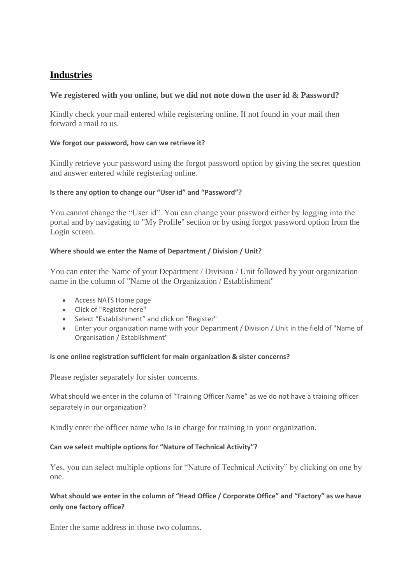# **[Industries](http://mhrdnats.gov.in/faqs#collapse2)**

# **We registered with you online, but we did not note down the user id & Password?**

Kindly check your mail entered while registering online. If not found in your mail then forward a mail to us.

### **We forgot our password, how can we retrieve it?**

Kindly retrieve your password using the forgot password option by giving the secret question and answer entered while registering online.

# **Is there any option to change our "User id" and "Password"?**

You cannot change the "User id". You can change your password either by logging into the portal and by navigating to "My Profile" section or by using forgot password option from the Login screen.

# **Where should we enter the Name of Department / Division / Unit?**

You can enter the Name of your Department / Division / Unit followed by your organization name in the column of "Name of the Organization / Establishment"

- Access NATS Home page
- Click of "Register here"
- Select "Establishment" and click on "Register"
- Enter your organization name with your Department / Division / Unit in the field of "Name of Organisation / Establishment"

# **Is one online registration sufficient for main organization & sister concerns?**

Please register separately for sister concerns.

What should we enter in the column of "Training Officer Name" as we do not have a training officer separately in our organization?

Kindly enter the officer name who is in charge for training in your organization.

# **Can we select multiple options for "Nature of Technical Activity"?**

Yes, you can select multiple options for "Nature of Technical Activity" by clicking on one by one.

# **What should we enter in the column of "Head Office / Corporate Office" and "Factory" as we have only one factory office?**

Enter the same address in those two columns.